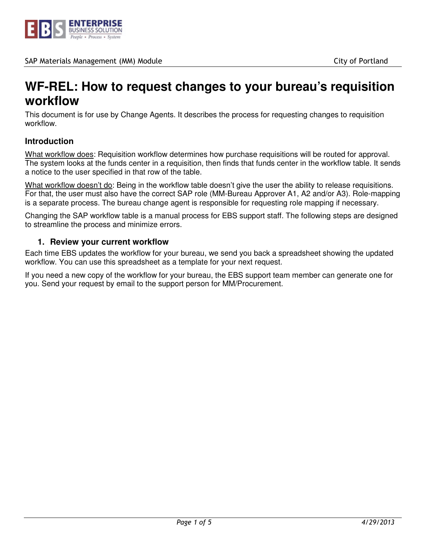

# **WF-REL: How to request changes to your bureau's requisition workflow**

This document is for use by Change Agents. It describes the process for requesting changes to requisition workflow.

# **Introduction**

What workflow does: Requisition workflow determines how purchase requisitions will be routed for approval. The system looks at the funds center in a requisition, then finds that funds center in the workflow table. It sends a notice to the user specified in that row of the table.

What workflow doesn't do: Being in the workflow table doesn't give the user the ability to release requisitions. For that, the user must also have the correct SAP role (MM-Bureau Approver A1, A2 and/or A3). Role-mapping is a separate process. The bureau change agent is responsible for requesting role mapping if necessary.

Changing the SAP workflow table is a manual process for EBS support staff. The following steps are designed to streamline the process and minimize errors.

### **1. Review your current workflow**

Each time EBS updates the workflow for your bureau, we send you back a spreadsheet showing the updated workflow. You can use this spreadsheet as a template for your next request.

If you need a new copy of the workflow for your bureau, the EBS support team member can generate one for you. Send your request by email to the support person for MM/Procurement.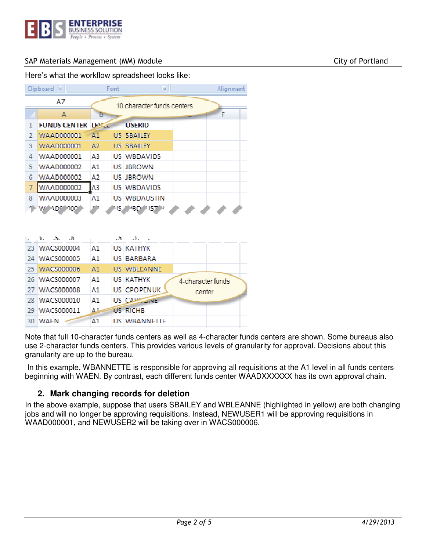

Here's what the workflow spreadsheet looks like:

rg. Clipboard<sup>5</sup> Font Alignment AΖ 10 character funds centers A B. È  $\mathbf{1}$ **FUNDS CENTER LEXALE USERID**  $\overline{2}$ **WAAD000001**  $\mathsf{A}1$ **US SBAILEY** WAAD000001 3  $A2$ **US SBAILEY**  $\overline{4}$ WAAD000001 A3 US WBDAVIDS 5 WAAD000002  $\mathbf{A}1$ **US JBROWN** 6 **WAAD000002** A2 **US JBROWN**  $\overline{A3}$ 7 **WAAD000002 US WBDAVIDS** WAAD000003 8  $A1$ **US WBDAUSTIN** ٢. W ADRIA000 **NS AMBIO MISTAM** 

|     | i de de<br>v.     | - 3            | المطالب             |                   |
|-----|-------------------|----------------|---------------------|-------------------|
| 23. | <b>WACS000004</b> | A1             | <b>US KATHYK</b>    |                   |
|     | 24 WACS000005     | $\mathbf{A}$ 1 | <b>US BARBARA</b>   |                   |
|     | 25 WACS000006     | A1             | <b>US WBLEANNE</b>  |                   |
|     | 26 WACS000007     | Λ1             | <b>US KATHYK</b>    | 4-character funds |
|     | 27 WACS000008     | $\mathbf{A}1$  | <b>US CPOPENUK</b>  | center            |
|     | 28 WACS000010     | A1             | US CAPPETINE        |                   |
| 29. | <b>WACS000011</b> | Δ1             | <b>US RICHB</b>     |                   |
| 30  | WAEN              | A <sub>1</sub> | <b>US WBANNETTE</b> |                   |

Note that full 10-character funds centers as well as 4-character funds centers are shown. Some bureaus also use 2-character funds centers. This provides various levels of granularity for approval. Decisions about this granularity are up to the bureau.

 In this example, WBANNETTE is responsible for approving all requisitions at the A1 level in all funds centers beginning with WAEN. By contrast, each different funds center WAADXXXXXX has its own approval chain.

# **2. Mark changing records for deletion**

In the above example, suppose that users SBAILEY and WBLEANNE (highlighted in yellow) are both changing jobs and will no longer be approving requisitions. Instead, NEWUSER1 will be approving requisitions in WAAD000001, and NEWUSER2 will be taking over in WACS000006.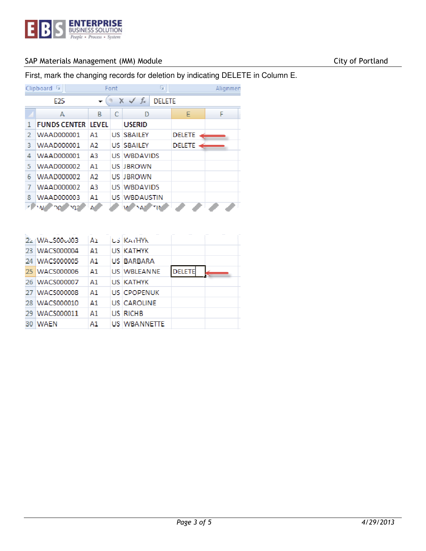

First, mark the changing records for deletion by indicating DELETE in Column E.

|    | Clipboard<br>厅      |                                              | Font | Б                   |               | Alignmen |
|----|---------------------|----------------------------------------------|------|---------------------|---------------|----------|
|    | F25                 | $f_x$<br>$\times$<br><b>DELETE</b><br>v<br>┳ |      |                     |               |          |
|    | A                   | B.                                           | C    | D                   | F             | F        |
|    | <b>FUNDS CENTER</b> | IIVFI.                                       |      | <b>USERID</b>       |               |          |
| 2  | WAAD000001          | Α1                                           |      | <b>US SBAILEY</b>   | <b>DELETE</b> |          |
| 3  | <b>WAAD000001</b>   | A2                                           |      | <b>US SBAILEY</b>   | DELETE        |          |
| 4  | WAAD000001          | AЗ                                           |      | <b>US WBDAVIDS</b>  |               |          |
| 5  | <b>WAAD000002</b>   | $\mathbf{A}1$                                |      | <b>US IBROWN</b>    |               |          |
| 6  | <b>WAAD000002</b>   | AЭ                                           |      | <b>US IBROWN</b>    |               |          |
| 7  | <b>WAAD000002</b>   | AЗ                                           |      | <b>US WBDAVIDS</b>  |               |          |
| 8  | <b>WAAD000003</b>   | $\mathbf{A}1$                                |      | <b>US WBDAUSTIN</b> |               |          |
| жI | мp                  | N                                            |      | "IN<br>۹A           |               |          |

|      | $22.1$ WA, $500$ <sub>3</sub> 003 | ۸ı | <b>US KATHYK</b>   |        |  |
|------|-----------------------------------|----|--------------------|--------|--|
| 23   | <b>WACS000004</b>                 | Δ1 | US KATHYK          |        |  |
| -24  | <b>WACS000005</b>                 | A1 | US BARBARA         |        |  |
|      | 25 WACS000006                     | Λ1 | <b>US WBLEANNE</b> | DELETE |  |
|      | 26 WACS000007                     | Α1 | <b>US KATHYK</b>   |        |  |
| -27  | <b>WACS000008</b>                 | Α1 | <b>US CPOPENUK</b> |        |  |
| 28 I | WACS000010                        | A1 | US ICAROLINE.      |        |  |
| -29  | <b>WACS000011</b>                 | Δ1 | US RICHB           |        |  |
| 30   | <b>WAEN</b>                       | A1 | US IWBANNETTE.     |        |  |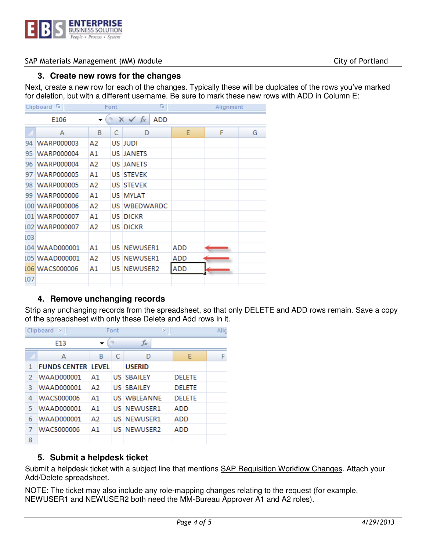

#### **3. Create new rows for the changes**

Next, create a new row for each of the changes. Typically these will be duplcates of the rows you've marked for deletion, but with a different username. Be sure to mark these new rows with ADD in Column E:

|                                                      | Clipboard<br>12   | Font |      | 15                 |            |   | Alignment |  |
|------------------------------------------------------|-------------------|------|------|--------------------|------------|---|-----------|--|
| $f_x$<br>$\times$ $\checkmark$<br><b>ADD</b><br>E106 |                   |      |      |                    |            |   |           |  |
|                                                      | A                 | B    | C    | D                  | E          | F | G         |  |
| 94                                                   | <b>WARP000003</b> | Α2   |      | US JUDI            |            |   |           |  |
| 95                                                   | <b>WARP000004</b> | A1   |      | <b>US JANETS</b>   |            |   |           |  |
| 96                                                   | <b>WARP000004</b> | Α2   |      | <b>US JANETS</b>   |            |   |           |  |
| 97                                                   | <b>WARP000005</b> | A1   |      | <b>US STEVEK</b>   |            |   |           |  |
| 98                                                   | <b>WARP000005</b> | Α2   |      | <b>US STEVEK</b>   |            |   |           |  |
| 99                                                   | <b>WARP000006</b> | Α1   |      | US MYLAT           |            |   |           |  |
|                                                      | L00 WARP000006    | Α2   |      | US WBEDWARDC       |            |   |           |  |
|                                                      | 101 WARP000007    | A1   | US I | <b>DICKR</b>       |            |   |           |  |
|                                                      | L02 WARP000007    | А2   |      | <b>US DICKR</b>    |            |   |           |  |
| LO3                                                  |                   |      |      |                    |            |   |           |  |
|                                                      | L04 WAAD000001    | Α1   |      | <b>US NEWUSER1</b> | ADD        |   |           |  |
|                                                      | L05 WAAD000001    | А2   |      | <b>US NEWUSER1</b> | ADD        |   |           |  |
|                                                      | L06 WACS000006    | A1   | US I | <b>NEWUSER2</b>    | <b>ADD</b> |   |           |  |
| L07                                                  |                   |      |      |                    |            |   |           |  |

# **4. Remove unchanging records**

Strip any unchanging records from the spreadsheet, so that only DELETE and ADD rows remain. Save a copy of the spreadsheet with only these Delete and Add rows in it.

| Clipboard<br>la. |                           |    | Font | г.                  |               | Alic |
|------------------|---------------------------|----|------|---------------------|---------------|------|
| E13              |                           |    |      | $f_x$               |               |      |
|                  | А                         | в  | C    | D                   | E             | F    |
| 1                | <b>FUNDS CENTER LEVEL</b> |    |      | <b>USERID</b>       |               |      |
| 2                | <b>WAAD000001</b>         | Α1 |      | <b>US SBAILEY</b>   | <b>DELETE</b> |      |
| з                | <b>WAAD000001</b>         | Α2 |      | <b>US SBAILEY</b>   | <b>DELETE</b> |      |
| 4                | <b>WACS000006</b>         | А1 |      | <b>US WBI FANNE</b> | <b>DELETE</b> |      |
| 5                | <b>WAAD000001</b>         | А1 |      | <b>US NEWUSER1</b>  | ADD           |      |
| 6                | <b>WAAD000001</b>         | Δ2 |      | <b>US NEWUSER1</b>  | ADD           |      |
| 7                | <b>WACS000006</b>         | Α1 |      | <b>US NEWUSER2</b>  | ADD           |      |
| 8                |                           |    |      |                     |               |      |

# **5. Submit a helpdesk ticket**

Submit a helpdesk ticket with a subject line that mentions **SAP Requisition Workflow Changes**. Attach your Add/Delete spreadsheet.

NOTE: The ticket may also include any role-mapping changes relating to the request (for example, NEWUSER1 and NEWUSER2 both need the MM-Bureau Approver A1 and A2 roles).